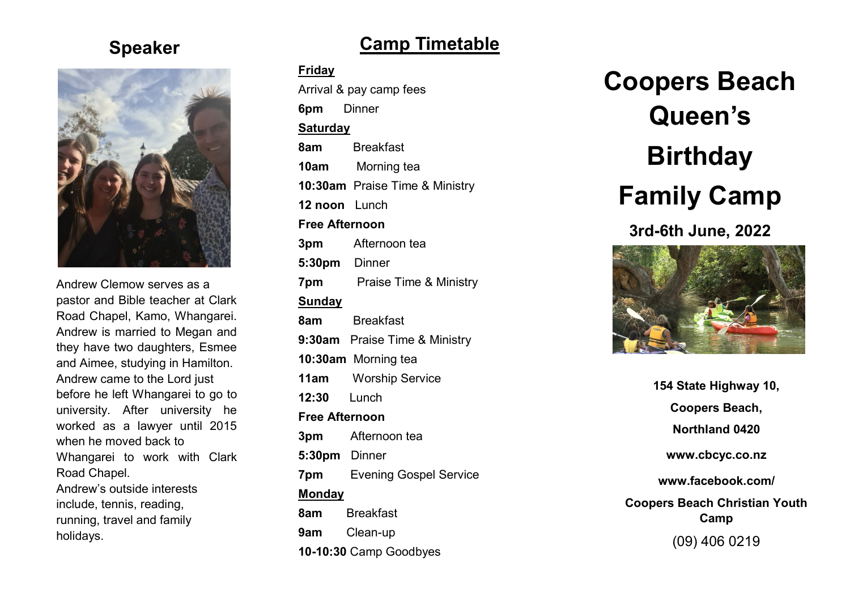### **Speaker**



Andrew Clemow serves as a pastor and Bible teacher at Clark Road Chapel, Kamo, Whangarei. Andrew is married to Megan and they have two daughters, Esmee and Aimee, studying in Hamilton. Andrew came to the Lord just before he left Whangarei to go to university. After university he worked as a lawyer until 2015 when he moved back to Whangarei to work with Clark Road Chapel. Andrew's outside interests include, tennis, reading, running, travel and family holidays.

## **Camp Timetable**

#### **Friday**

Arrival & pay camp fees **6pm** Dinner **Saturday 8am** Breakfast **10am** Morning tea **10:30am** Praise Time & Ministry **12 noon** Lunch **Free Afternoon 3pm** Afternoon tea **5:30pm** Dinner **7pm** Praise Time & Ministry **Sunday 8am** Breakfast **9:30am** Praise Time & Ministry **10:30am** Morning tea **11am** Worship Service **12:30** Lunch **Free Afternoon 3pm** Afternoon tea **5:30pm** Dinner **7pm** Evening Gospel Service **Monday 8am** Breakfast **9am** Clean -up **10 -10:30** Camp Goodbyes

**Coopers Beach Queen's Birthday Family Camp 3rd -6th June, 2022**



**154 State Highway 10, Coopers Beach, Northland 0420 www.cbcyc.co.nz www.facebook.com/ Coopers Beach Christian Youth Camp** (09) 406 0219